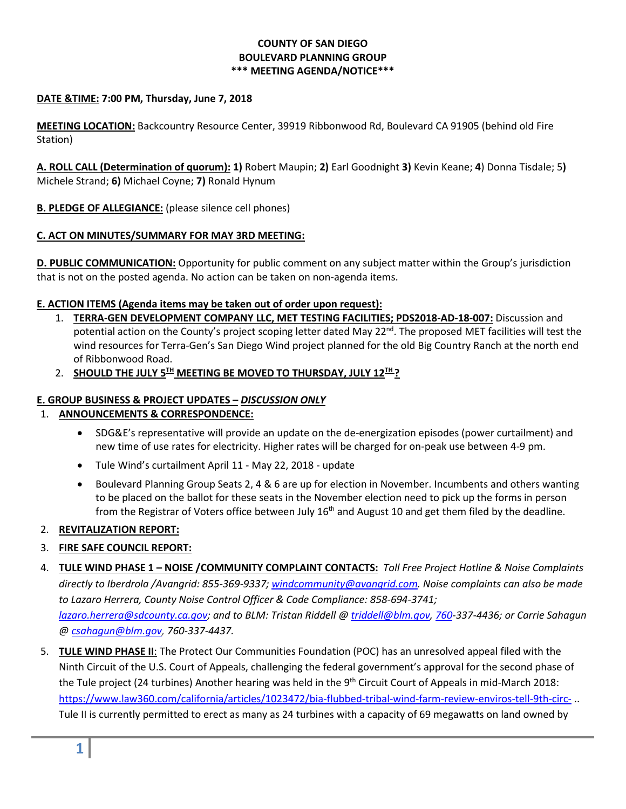## **COUNTY OF SAN DIEGO BOULEVARD PLANNING GROUP \*\*\* MEETING AGENDA/NOTICE\*\*\***

## **DATE &TIME: 7:00 PM, Thursday, June 7, 2018**

**MEETING LOCATION:** Backcountry Resource Center, 39919 Ribbonwood Rd, Boulevard CA 91905 (behind old Fire Station)

**A. ROLL CALL (Determination of quorum): 1)** Robert Maupin; **2)** Earl Goodnight **3)** Kevin Keane; **4**) Donna Tisdale; 5**)**  Michele Strand; **6)** Michael Coyne; **7)** Ronald Hynum

**B. PLEDGE OF ALLEGIANCE:** (please silence cell phones)

## **C. ACT ON MINUTES/SUMMARY FOR MAY 3RD MEETING:**

**D. PUBLIC COMMUNICATION:** Opportunity for public comment on any subject matter within the Group's jurisdiction that is not on the posted agenda. No action can be taken on non-agenda items.

#### **E. ACTION ITEMS (Agenda items may be taken out of order upon request):**

- 1. **TERRA-GEN DEVELOPMENT COMPANY LLC, MET TESTING FACILITIES; PDS2018-AD-18-007:** Discussion and potential action on the County's project scoping letter dated May 22<sup>nd</sup>. The proposed MET facilities will test the wind resources for Terra-Gen's San Diego Wind project planned for the old Big Country Ranch at the north end of Ribbonwood Road.
- 2. **SHOULD THE JULY 5TH MEETING BE MOVED TO THURSDAY, JULY 12TH ?**

### **E. GROUP BUSINESS & PROJECT UPDATES –** *DISCUSSION ONLY*

# 1. **ANNOUNCEMENTS & CORRESPONDENCE:**

- SDG&E's representative will provide an update on the de-energization episodes (power curtailment) and new time of use rates for electricity. Higher rates will be charged for on-peak use between 4-9 pm.
- Tule Wind's curtailment April 11 May 22, 2018 update
- Boulevard Planning Group Seats 2, 4 & 6 are up for election in November. Incumbents and others wanting to be placed on the ballot for these seats in the November election need to pick up the forms in person from the Registrar of Voters office between July  $16<sup>th</sup>$  and August 10 and get them filed by the deadline.

# 2. **REVITALIZATION REPORT:**

- 3. **FIRE SAFE COUNCIL REPORT:**
- 4. **TULE WIND PHASE 1 – NOISE /COMMUNITY COMPLAINT CONTACTS:** *Toll Free Project Hotline & Noise Complaints directly to Iberdrola /Avangrid: 855-369-9337; [windcommunity@avangrid.com.](mailto:windcommunity@avangrid.com) Noise complaints can also be made to Lazaro Herrera, County Noise Control Officer & Code Compliance: 858-694-3741; [lazaro.herrera@sdcounty.ca.gov;](mailto:lazaro.herrera@sdcounty.ca.gov) and to BLM: Tristan Riddell [@ triddell@blm.gov,](mailto:triddell@blm.gov) [760-](mailto:760)337-4436; or Carrie Sahagun @ [csahagun@blm.gov,](mailto:csahagun@blm.gov) 760-337-4437.*
- 5. **TULE WIND PHASE II**: The [Protect Our Communities Foundation](https://protectourcommunities.org/) (POC) has an unresolved appeal filed with the Ninth Circuit of the U.S. Court of Appeals, challenging the federal government's approval for the second phase of the Tule project (24 turbines) Another hearing was held in the 9<sup>th</sup> Circuit Court of Appeals in mid-March 2018: <https://www.law360.com/california/articles/1023472/bia-flubbed-tribal-wind-farm-review-enviros-tell-9th-circ-> .. Tule II is currently permitted to erect as many as 24 turbines with a capacity of 69 megawatts on land owned by